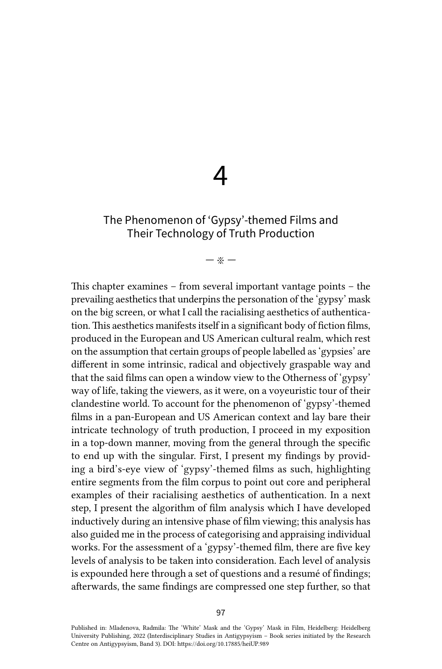# 4

# The Phenomenon of 'Gypsy'-themed Films and Their Technology of Truth Production

### — ※ —

This chapter examines – from several important vantage points – the prevailing aesthetics that underpins the personation of the 'gypsy' mask on the big screen, or what I call the racialising aesthetics of authentication. This aesthetics manifests itself in a significant body of fiction films, produced in the European and US American cultural realm, which rest on the assumption that certain groups of people labelled as 'gypsies' are different in some intrinsic, radical and objectively graspable way and that the said films can open a window view to the Otherness of 'gypsy' way of life, taking the viewers, as it were, on a voyeuristic tour of their clandestine world. To account for the phenomenon of 'gypsy'-themed films in a pan-European and US American context and lay bare their intricate technology of truth production, I proceed in my exposition in a top-down manner, moving from the general through the specific to end up with the singular. First, I present my findings by providing a bird's-eye view of 'gypsy'-themed films as such, highlighting entire segments from the film corpus to point out core and peripheral examples of their racialising aesthetics of authentication. In a next step, I present the algorithm of film analysis which I have developed inductively during an intensive phase of film viewing; this analysis has also guided me in the process of categorising and appraising individual works. For the assessment of a 'gypsy'-themed film, there are five key levels of analysis to be taken into consideration. Each level of analysis is expounded here through a set of questions and a resumé of findings; afterwards, the same findings are compressed one step further, so that

Published in: Mladenova, Radmila: The 'White' Mask and the 'Gypsy' Mask in Film, Heidelberg: Heidelberg University Publishing, 2022 (Interdisciplinary Studies in Antigypsyism – Book series initiated by the Research Centre on Antigypsyism, Band 3). DOI:<https://doi.org/10.17885/heiUP.989>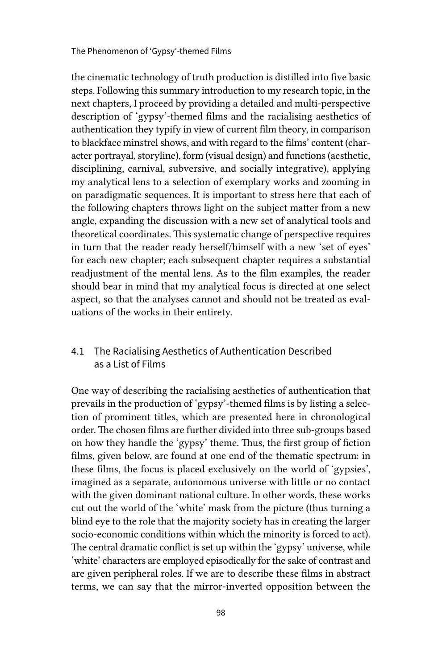The Phenomenon of 'Gypsy'-themed Films

the cinematic technology of truth production is distilled into five basic steps. Following this summary introduction to my research topic, in the next chapters, I proceed by providing a detailed and multi-perspective description of 'gypsy'-themed films and the racialising aesthetics of authentication they typify in view of current film theory, in comparison to blackface minstrel shows, and with regard to the films' content (character portrayal, storyline), form (visual design) and functions (aesthetic, disciplining, carnival, subversive, and socially integrative), applying my analytical lens to a selection of exemplary works and zooming in on paradigmatic sequences. It is important to stress here that each of the following chapters throws light on the subject matter from a new angle, expanding the discussion with a new set of analytical tools and theoretical coordinates. This systematic change of perspective requires in turn that the reader ready herself/himself with a new 'set of eyes' for each new chapter; each subsequent chapter requires a substantial readjustment of the mental lens. As to the film examples, the reader should bear in mind that my analytical focus is directed at one select aspect, so that the analyses cannot and should not be treated as evaluations of the works in their entirety.

## 4.1 The Racialising Aesthetics of Authentication Described as a List of Films

One way of describing the racialising aesthetics of authentication that prevails in the production of 'gypsy'-themed films is by listing a selection of prominent titles, which are presented here in chronological order. The chosen films are further divided into three sub-groups based on how they handle the 'gypsy' theme. Thus, the first group of fiction films, given below, are found at one end of the thematic spectrum: in these films, the focus is placed exclusively on the world of 'gypsies', imagined as a separate, autonomous universe with little or no contact with the given dominant national culture. In other words, these works cut out the world of the 'white' mask from the picture (thus turning a blind eye to the role that the majority society has in creating the larger socio-economic conditions within which the minority is forced to act). The central dramatic conflict is set up within the 'gypsy' universe, while 'white' characters are employed episodically for the sake of contrast and are given peripheral roles. If we are to describe these films in abstract terms, we can say that the mirror-inverted opposition between the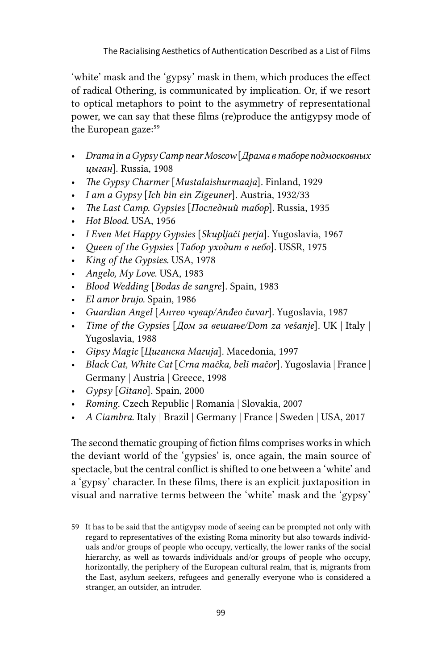'white' mask and the 'gypsy' mask in them, which produces the effect of radical Othering, is communicated by implication. Or, if we resort to optical metaphors to point to the asymmetry of representational power, we can say that these films (re)produce the antigypsy mode of the European gaze:<sup>59</sup>

- *Drama in a Gypsy Camp near Moscow* [*Драма в таборе подмосковных цыган*]. Russia, 1908
- *The Gypsy Charmer* [*Mustalaishurmaaja*]*.* Finland, 1929
- *I am a Gypsy* [*Ich bin ein Zigeuner*]*.* Austria, 1932/33
- *The Last Camp. Gypsies* [*Последний табор*]. Russia, 1935
- *Hot Blood.* USA, 1956
- *I Even Met Happy Gypsies* [*Skupljači perja*]*.* Yugoslavia, 1967
- *Queen of the Gypsies* [*Табор уходит в небо*]*.* USSR, 1975
- *King of the Gypsies.* USA, 1978
- *Angelo, My Love.* USA, 1983
- *Blood Wedding* [*Bodas de sangre*]. Spain, 1983
- *El amor brujo.* Spain, 1986
- *Guardian Angel* [*Анђео чувар/Anđeo čuvar*]*.* Yugoslavia, 1987
- *Time of the Gypsies* [*Дом за вешање/Dom za vešanje*]*.* UK | Italy | Yugoslavia, 1988
- *Gipsy Magic* [*Циганска Магија*]*.* Macedonia, 1997
- *Black Cat, White Cat* [*Crna mačka, beli mačor*]*.* Yugoslavia | France | Germany | Austria | Greece, 1998
- *Gypsy* [*Gitano*]*.* Spain, 2000
- *Roming.* Czech Republic | Romania | Slovakia, 2007
- *A Ciambra.* Italy | Brazil | Germany | France | Sweden | USA, 2017

The second thematic grouping of fiction films comprises works in which the deviant world of the 'gypsies' is, once again, the main source of spectacle, but the central conflict is shifted to one between a 'white' and a 'gypsy' character. In these films, there is an explicit juxtaposition in visual and narrative terms between the 'white' mask and the 'gypsy'

<sup>59</sup> It has to be said that the antigypsy mode of seeing can be prompted not only with regard to representatives of the existing Roma minority but also towards individuals and/or groups of people who occupy, vertically, the lower ranks of the social hierarchy, as well as towards individuals and/or groups of people who occupy, horizontally, the periphery of the European cultural realm, that is, migrants from the East, asylum seekers, refugees and generally everyone who is considered a stranger, an outsider, an intruder.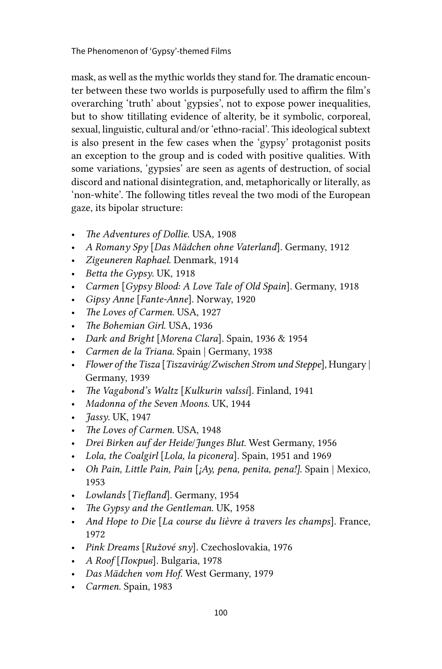mask, as well as the mythic worlds they stand for. The dramatic encounter between these two worlds is purposefully used to affirm the film's overarching 'truth' about 'gypsies', not to expose power inequalities, but to show titillating evidence of alterity, be it symbolic, corporeal, sexual, linguistic, cultural and/or 'ethno-racial'. This ideological subtext is also present in the few cases when the 'gypsy' protagonist posits an exception to the group and is coded with positive qualities. With some variations, 'gypsies' are seen as agents of destruction, of social discord and national disintegration, and, metaphorically or literally, as 'non-white'. The following titles reveal the two modi of the European gaze, its bipolar structure:

- *The Adventures of Dollie*. USA, 1908
- *A Romany Spy* [*Das Mädchen ohne Vaterland*]. Germany, 1912
- *Zigeuneren Raphael*. Denmark, 1914
- *Betta the Gypsy*. UK, 1918
- *Carmen* [*Gypsy Blood: A Love Tale of Old Spain*]. Germany, 1918
- *Gipsy Anne* [*Fante-Anne*]. Norway, 1920
- *The Loves of Carmen*. USA, 1927
- *The Bohemian Girl*. USA, 1936
- *Dark and Bright* [*Morena Clara*]. Spain, 1936 & 1954
- *Carmen de la Triana.* Spain | Germany, 1938
- *Flower of the Tisza* [*Tiszavirág*/*Zwischen Strom und Steppe*], Hungary | Germany, 1939
- *The Vagabond's Waltz* [*Kulkurin valssi*]. Finland, 1941
- *Madonna of the Seven Moons*. UK, 1944
- *Jassy*. UK, 1947
- *The Loves of Carmen*. USA, 1948
- *Drei Birken auf der Heide*/*Junges Blut*. West Germany, 1956
- *Lola, the Coalgirl* [*Lola, la piconera*]. Spain, 1951 and 1969
- *Oh Pain, Little Pain, Pain* [*¡Ay, pena, penita, pena!].* Spain | Mexico, 1953
- *Lowlands* [*Tiefland*]. Germany, 1954
- *The Gypsy and the Gentleman*. UK, 1958
- *And Hope to Die* [*La course du lièvre à travers les champs*]. France, 1972
- *Pink Dreams* [*Ružové sny*]. Czechoslovakia, 1976
- *A Roof* [*Покрив*]. Bulgaria, 1978
- *Das Mädchen vom Hof.* West Germany, 1979
- *Carmen*. Spain, 1983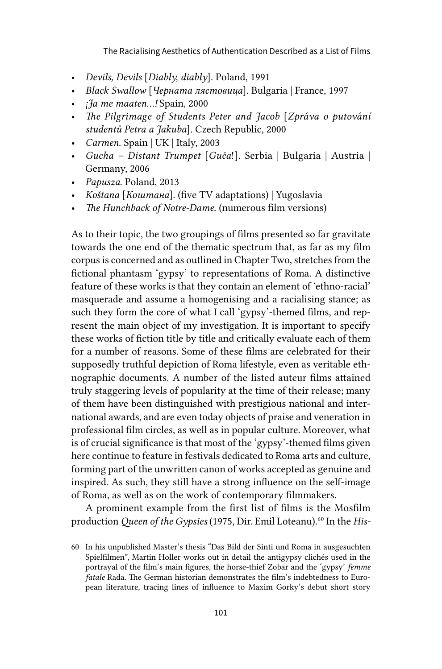The Racialising Aesthetics of Authentication Described as a List of Films

- *Devils, Devils* [*Diabły, diabły*]. Poland, 1991
- *Black Swallow* [*Черната лястовица*]. Bulgaria | France, 1997
- *¡Ja me maaten...!* Spain, 2000
- *The Pilgrimage of Students Peter and Jacob* [*Zpráva o putování studentů Petra a Jakuba*]. Czech Republic, 2000
- *Carmen*. Spain | UK | Italy, 2003
- *Gucha Distant Trumpet* [*Guča*!]. Serbia | Bulgaria | Austria | Germany, 2006
- *Papusza*. Poland, 2013
- *Koštana* [*Коштана*]. (five TV adaptations) | Yugoslavia
- *The Hunchback of Notre-Dame*. (numerous film versions)

As to their topic, the two groupings of films presented so far gravitate towards the one end of the thematic spectrum that, as far as my film corpus is concerned and as outlined in Chapter Two, stretches from the fictional phantasm 'gypsy' to representations of Roma. A distinctive feature of these works is that they contain an element of 'ethno-racial' masquerade and assume a homogenising and a racialising stance; as such they form the core of what I call 'gypsy'-themed films, and represent the main object of my investigation. It is important to specify these works of fiction title by title and critically evaluate each of them for a number of reasons. Some of these films are celebrated for their supposedly truthful depiction of Roma lifestyle, even as veritable ethnographic documents. A number of the listed auteur films attained truly staggering levels of popularity at the time of their release; many of them have been distinguished with prestigious national and international awards, and are even today objects of praise and veneration in professional film circles, as well as in popular culture. Moreover, what is of crucial significance is that most of the 'gypsy'-themed films given here continue to feature in festivals dedicated to Roma arts and culture, forming part of the unwritten canon of works accepted as genuine and inspired. As such, they still have a strong influence on the self-image of Roma, as well as on the work of contemporary filmmakers.

A prominent example from the first list of films is the Mosfilm production *Queen of the Gypsies* (1975, Dir. Emil Loteanu)*.*60 In the *His-*

<sup>60</sup> In his unpublished Master's thesis "Das Bild der Sinti und Roma in ausgesuchten Spielfilmen", Martin Holler works out in detail the antigypsy clichés used in the portrayal of the film's main figures, the horse-thief Zobar and the 'gypsy' *femme fatale* Rada. The German historian demonstrates the film's indebtedness to European literature, tracing lines of influence to Maxim Gorky's debut short story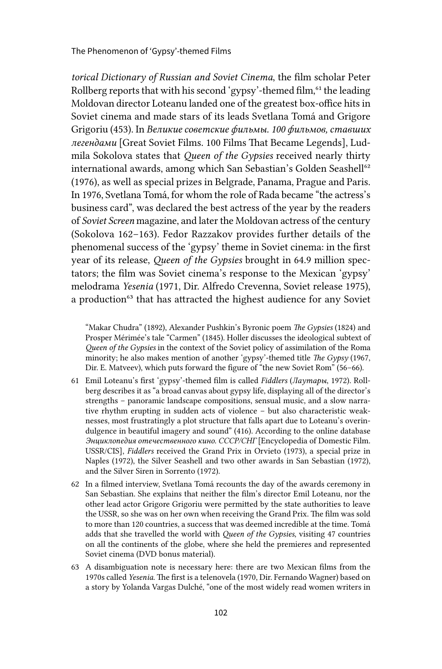The Phenomenon of 'Gypsy'-themed Films

*torical Dictionary of Russian and Soviet Cinema*, the film scholar Peter Rollberg reports that with his second 'gypsy'-themed film, $61$ <sup>the leading</sup> Moldovan director Loteanu landed one of the greatest box-office hits in Soviet cinema and made stars of its leads Svetlana Tomá and Grigore Grigoriu (453). In *Великие советские фильмы. 100 фильмов, ставших легендами* [Great Soviet Films. 100 Films That Became Legends], Ludmila Sokolova states that *Queen of the Gypsies* received nearly thirty international awards, among which San Sebastian's Golden Seashell<sup>62</sup> (1976), as well as special prizes in Belgrade, Panama, Prague and Paris. In 1976, Svetlana Tomá, for whom the role of Rada became "the actress's business card", was declared the best actress of the year by the readers of *Soviet Screen* magazine, and later the Moldovan actress of the century (Sokolova 162–163). Fedor Razzakov provides further details of the phenomenal success of the 'gypsy' theme in Soviet cinema: in the first year of its release, *Queen of the Gypsies* brought in 64.9 million spectators; the film was Soviet cinema's response to the Mexican 'gypsy' melodrama *Yesenia* (1971, Dir. Alfredo Crevenna, Soviet release 1975), a production<sup>63</sup> that has attracted the highest audience for any Soviet

"Makar Chudra" (1892), Alexander Pushkin's Byronic poem *The Gypsies* (1824) and Prosper Mérimée's tale "Carmen" (1845). Holler discusses the ideological subtext of *Queen of the Gypsies* in the context of the Soviet policy of assimilation of the Roma minority; he also makes mention of another 'gypsy'-themed title *The Gypsy* (1967, Dir. E. Matveev), which puts forward the figure of "the new Soviet Rom" (56–66).

- 61 Emil Loteanu's first 'gypsy'-themed film is called *Fiddlers* (*Лаутары*, 1972). Rollberg describes it as "a broad canvas about gypsy life, displaying all of the director's strengths – panoramic landscape compositions, sensual music, and a slow narrative rhythm erupting in sudden acts of violence – but also characteristic weaknesses, most frustratingly a plot structure that falls apart due to Loteanu's overindulgence in beautiful imagery and sound" (416). According to the online database *Энциклопедия отечественного кино. СССР/СНГ* [Encyclopedia of Domestic Film. USSR/CIS], *Fiddlers* received the Grand Prix in Orvieto (1973), a special prize in Naples (1972), the Silver Seashell and two other awards in San Sebastian (1972), and the Silver Siren in Sorrento (1972).
- 62 In a filmed interview, Svetlana Tomá recounts the day of the awards ceremony in San Sebastian. She explains that neither the film's director Emil Loteanu, nor the other lead actor Grigore Grigoriu were permitted by the state authorities to leave the USSR, so she was on her own when receiving the Grand Prix. The film was sold to more than 120 countries, a success that was deemed incredible at the time. Tomá adds that she travelled the world with *Queen of the Gypsies*, visiting 47 countries on all the continents of the globe, where she held the premieres and represented Soviet cinema (DVD bonus material).
- 63 A disambiguation note is necessary here: there are two Mexican films from the 1970s called *Yesenia*. The first is a telenovela (1970, Dir. Fernando Wagner) based on a story by Yolanda Vargas Dulché, "one of the most widely read women writers in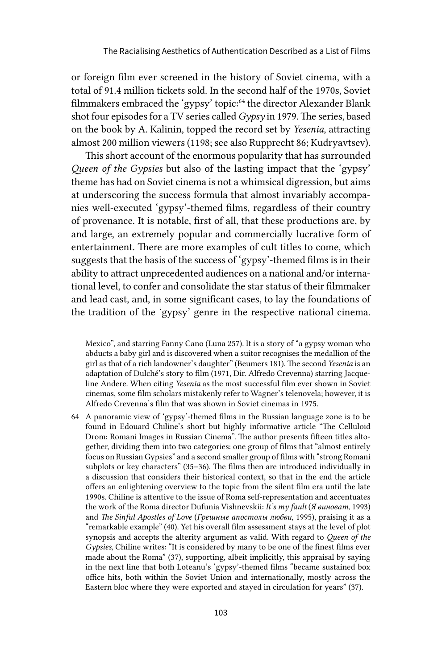or foreign film ever screened in the history of Soviet cinema, with a total of 91.4 million tickets sold. In the second half of the 1970s, Soviet filmmakers embraced the 'gypsy' topic:<sup>64</sup> the director Alexander Blank shot four episodes for a TV series called *Gypsy* in 1979. The series, based on the book by A. Kalinin, topped the record set by *Yesenia*, attracting almost 200 million viewers (1198; see also Rupprecht 86; Kudryavtsev).

This short account of the enormous popularity that has surrounded *Queen of the Gypsies* but also of the lasting impact that the 'gypsy' theme has had on Soviet cinema is not a whimsical digression, but aims at underscoring the success formula that almost invariably accompanies well-executed 'gypsy'-themed films, regardless of their country of provenance. It is notable, first of all, that these productions are, by and large, an extremely popular and commercially lucrative form of entertainment. There are more examples of cult titles to come, which suggests that the basis of the success of 'gypsy'-themed films is in their ability to attract unprecedented audiences on a national and/or international level, to confer and consolidate the star status of their filmmaker and lead cast, and, in some significant cases, to lay the foundations of the tradition of the 'gypsy' genre in the respective national cinema.

Mexico", and starring Fanny Cano (Luna 257). It is a story of "a gypsy woman who abducts a baby girl and is discovered when a suitor recognises the medallion of the girl as that of a rich landowner's daughter" (Beumers 181). The second *Yesenia* is an adaptation of Dulché's story to film (1971, Dir. Alfredo Crevenna) starring Jacqueline Andere. When citing *Yesenia* as the most successful film ever shown in Soviet cinemas, some film scholars mistakenly refer to Wagner's telenovela; however, it is Alfredo Crevenna's film that was shown in Soviet cinemas in 1975.

64 A panoramic view of 'gypsy'-themed films in the Russian language zone is to be found in Edouard Chiline's short but highly informative article "The Celluloid Drom: Romani Images in Russian Cinema". The author presents fifteen titles altogether, dividing them into two categories: one group of films that "almost entirely focus on Russian Gypsies" and a second smaller group of films with "strong Romani subplots or key characters" (35–36). The films then are introduced individually in a discussion that considers their historical context, so that in the end the article offers an enlightening overview to the topic from the silent film era until the late 1990s. Chiline is attentive to the issue of Roma self-representation and accentuates the work of the Roma director Dufunia Vishnevskii: *It's my fault* (*Я виноват*, 1993) and *The Sinful Apostles of Love* (*Грешные апостолы любви*, 1995), praising it as a "remarkable example" (40). Yet his overall film assessment stays at the level of plot synopsis and accepts the alterity argument as valid. With regard to *Queen of the Gypsies*, Chiline writes: "It is considered by many to be one of the finest films ever made about the Roma" (37), supporting, albeit implicitly, this appraisal by saying in the next line that both Loteanu's 'gypsy'-themed films "became sustained box office hits, both within the Soviet Union and internationally, mostly across the Eastern bloc where they were exported and stayed in circulation for years" (37).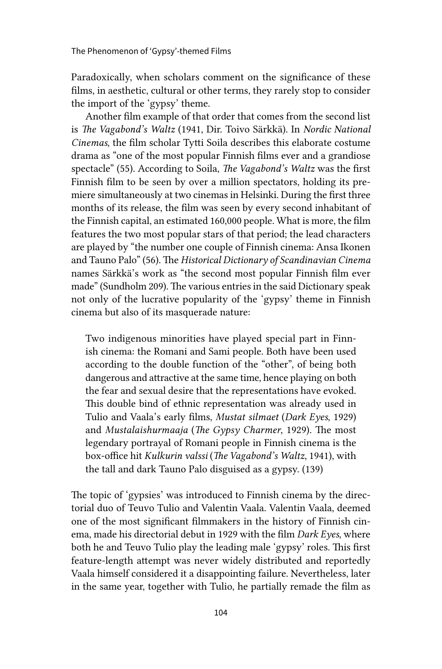Paradoxically, when scholars comment on the significance of these films, in aesthetic, cultural or other terms, they rarely stop to consider the import of the 'gypsy' theme.

Another film example of that order that comes from the second list is *The Vagabond's Waltz* (1941, Dir. Toivo Särkkä). In *Nordic National Cinemas*, the film scholar Tytti Soila describes this elaborate costume drama as "one of the most popular Finnish films ever and a grandiose spectacle" (55). According to Soila, *The Vagabond's Waltz* was the first Finnish film to be seen by over a million spectators, holding its premiere simultaneously at two cinemas in Helsinki. During the first three months of its release, the film was seen by every second inhabitant of the Finnish capital, an estimated 160,000 people. What is more, the film features the two most popular stars of that period; the lead characters are played by "the number one couple of Finnish cinema: Ansa Ikonen and Tauno Palo" (56). The *Historical Dictionary of Scandinavian Cinema* names Särkkä's work as "the second most popular Finnish film ever made" (Sundholm 209). The various entries in the said Dictionary speak not only of the lucrative popularity of the 'gypsy' theme in Finnish cinema but also of its masquerade nature:

Two indigenous minorities have played special part in Finnish cinema: the Romani and Sami people. Both have been used according to the double function of the "other", of being both dangerous and attractive at the same time, hence playing on both the fear and sexual desire that the representations have evoked. This double bind of ethnic representation was already used in Tulio and Vaala's early films, *Mustat silmaet* (*Dark Eyes*, 1929) and *Mustalaishurmaaja* (*The Gypsy Charmer*, 1929). The most legendary portrayal of Romani people in Finnish cinema is the box-office hit *Kulkurin valssi* (*The Vagabond's Waltz*, 1941), with the tall and dark Tauno Palo disguised as a gypsy. (139)

The topic of 'gypsies' was introduced to Finnish cinema by the directorial duo of Teuvo Tulio and Valentin Vaala. Valentin Vaala, deemed one of the most significant filmmakers in the history of Finnish cinema, made his directorial debut in 1929 with the film *Dark Eyes*, where both he and Teuvo Tulio play the leading male 'gypsy' roles. This first feature-length attempt was never widely distributed and reportedly Vaala himself considered it a disappointing failure. Nevertheless, later in the same year, together with Tulio, he partially remade the film as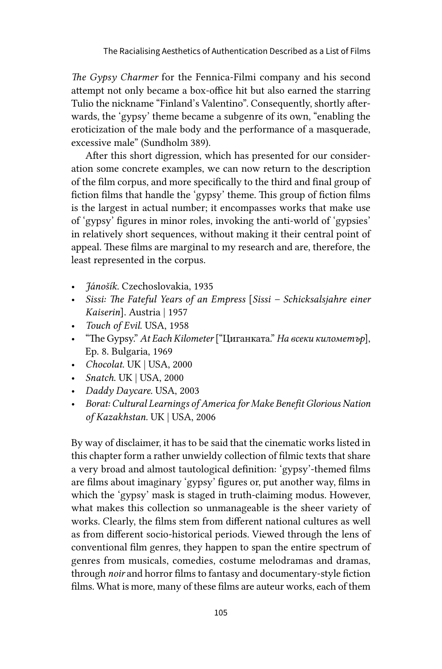*The Gypsy Charmer* for the Fennica-Filmi company and his second attempt not only became a box-office hit but also earned the starring Tulio the nickname "Finland's Valentino". Consequently, shortly afterwards, the 'gypsy' theme became a subgenre of its own, "enabling the eroticization of the male body and the performance of a masquerade, excessive male" (Sundholm 389).

After this short digression, which has presented for our consideration some concrete examples, we can now return to the description of the film corpus, and more specifically to the third and final group of fiction films that handle the 'gypsy' theme. This group of fiction films is the largest in actual number; it encompasses works that make use of 'gypsy' figures in minor roles, invoking the anti-world of 'gypsies' in relatively short sequences, without making it their central point of appeal. These films are marginal to my research and are, therefore, the least represented in the corpus.

- *Jánošík.* Czechoslovakia, 1935
- *Sissi: The Fateful Years of an Empress* [*Sissi Schicksalsjahre einer Kaiserin*]. Austria | 1957
- *Touch of Evil*. USA, 1958
- "The Gypsy." *At Each Kilometer* ["Циганката." *На всеки километър*], Ep. 8. Bulgaria, 1969
- *Chocolat*. UK | USA, 2000
- *Snatch*. UK | USA, 2000
- *Daddy Daycare.* USA, 2003
- *Borat: Cultural Learnings of America for Make Benefit Glorious Nation of Kazakhstan.* UK | USA, 2006

By way of disclaimer, it has to be said that the cinematic works listed in this chapter form a rather unwieldy collection of filmic texts that share a very broad and almost tautological definition: 'gypsy'-themed films are films about imaginary 'gypsy' figures or, put another way, films in which the 'gypsy' mask is staged in truth-claiming modus. However, what makes this collection so unmanageable is the sheer variety of works. Clearly, the films stem from different national cultures as well as from different socio-historical periods. Viewed through the lens of conventional film genres, they happen to span the entire spectrum of genres from musicals, comedies, costume melodramas and dramas, through *noir* and horror films to fantasy and documentary-style fiction films. What is more, many of these films are auteur works, each of them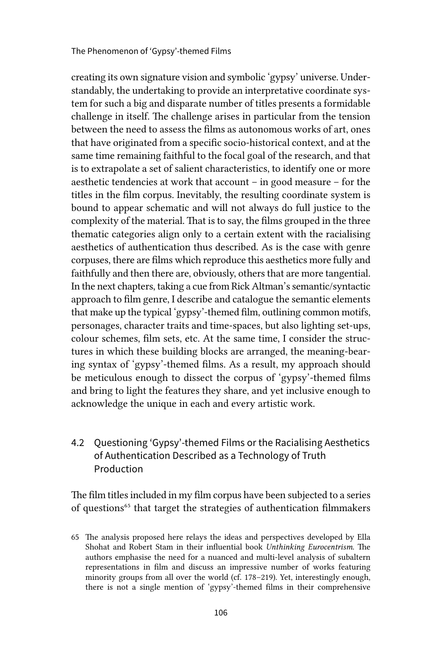creating its own signature vision and symbolic 'gypsy' universe. Understandably, the undertaking to provide an interpretative coordinate system for such a big and disparate number of titles presents a formidable challenge in itself. The challenge arises in particular from the tension between the need to assess the films as autonomous works of art, ones that have originated from a specific socio-historical context, and at the same time remaining faithful to the focal goal of the research, and that is to extrapolate a set of salient characteristics, to identify one or more aesthetic tendencies at work that account – in good measure – for the titles in the film corpus. Inevitably, the resulting coordinate system is bound to appear schematic and will not always do full justice to the complexity of the material. That is to say, the films grouped in the three thematic categories align only to a certain extent with the racialising aesthetics of authentication thus described. As is the case with genre corpuses, there are films which reproduce this aesthetics more fully and faithfully and then there are, obviously, others that are more tangential. In the next chapters, taking a cue from Rick Altman's semantic/syntactic approach to film genre, I describe and catalogue the semantic elements that make up the typical 'gypsy'-themed film, outlining common motifs, personages, character traits and time-spaces, but also lighting set-ups, colour schemes, film sets, etc. At the same time, I consider the structures in which these building blocks are arranged, the meaning-bearing syntax of 'gypsy'-themed films. As a result, my approach should be meticulous enough to dissect the corpus of 'gypsy'-themed films and bring to light the features they share, and yet inclusive enough to acknowledge the unique in each and every artistic work.

# 4.2 Questioning 'Gypsy'-themed Films or the Racialising Aesthetics of Authentication Described as a Technology of Truth Production

The film titles included in my film corpus have been subjected to a series of questions<sup>65</sup> that target the strategies of authentication filmmakers

<sup>65</sup> The analysis proposed here relays the ideas and perspectives developed by Ella Shohat and Robert Stam in their influential book *Unthinking Eurocentrism*. The authors emphasise the need for a nuanced and multi-level analysis of subaltern representations in film and discuss an impressive number of works featuring minority groups from all over the world (cf. 178–219). Yet, interestingly enough, there is not a single mention of 'gypsy'-themed films in their comprehensive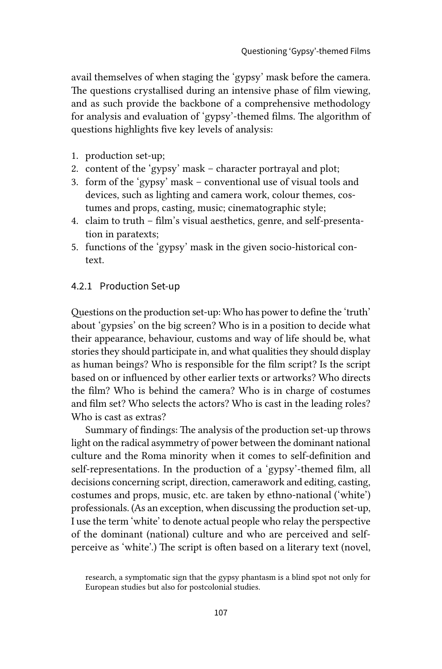avail themselves of when staging the 'gypsy' mask before the camera. The questions crystallised during an intensive phase of film viewing, and as such provide the backbone of a comprehensive methodology for analysis and evaluation of 'gypsy'-themed films. The algorithm of questions highlights five key levels of analysis:

- 1. production set-up;
- 2. content of the 'gypsy' mask character portrayal and plot;
- 3. form of the 'gypsy' mask conventional use of visual tools and devices, such as lighting and camera work, colour themes, costumes and props, casting, music; cinematographic style;
- 4. claim to truth film's visual aesthetics, genre, and self-presentation in paratexts;
- 5. functions of the 'gypsy' mask in the given socio-historical context.

#### 4.2.1 Production Set-up

Questions on the production set-up: Who has power to define the 'truth' about 'gypsies' on the big screen? Who is in a position to decide what their appearance, behaviour, customs and way of life should be, what stories they should participate in, and what qualities they should display as human beings? Who is responsible for the film script? Is the script based on or influenced by other earlier texts or artworks? Who directs the film? Who is behind the camera? Who is in charge of costumes and film set? Who selects the actors? Who is cast in the leading roles? Who is cast as extras?

Summary of findings: The analysis of the production set-up throws light on the radical asymmetry of power between the dominant national culture and the Roma minority when it comes to self-definition and self-representations. In the production of a 'gypsy'-themed film, all decisions concerning script, direction, camerawork and editing, casting, costumes and props, music, etc. are taken by ethno-national ('white') professionals. (As an exception, when discussing the production set-up, I use the term 'white' to denote actual people who relay the perspective of the dominant (national) culture and who are perceived and selfperceive as 'white'.) The script is often based on a literary text (novel,

research, a symptomatic sign that the gypsy phantasm is a blind spot not only for European studies but also for postcolonial studies.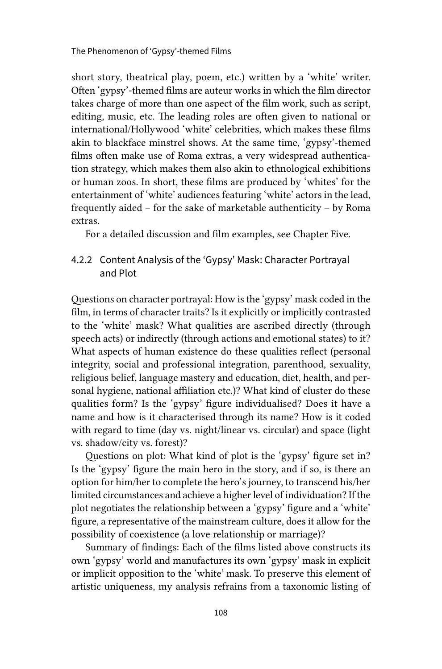short story, theatrical play, poem, etc.) written by a 'white' writer. Often 'gypsy'-themed films are auteur works in which the film director takes charge of more than one aspect of the film work, such as script, editing, music, etc. The leading roles are often given to national or international/Hollywood 'white' celebrities, which makes these films akin to blackface minstrel shows. At the same time, 'gypsy'-themed films often make use of Roma extras, a very widespread authentication strategy, which makes them also akin to ethnological exhibitions or human zoos. In short, these films are produced by 'whites' for the entertainment of 'white' audiences featuring 'white' actors in the lead, frequently aided – for the sake of marketable authenticity – by Roma extras.

For a detailed discussion and film examples, see Chapter Five.

## 4.2.2 Content Analysis of the 'Gypsy' Mask: Character Portrayal and Plot

Questions on character portrayal: How is the 'gypsy' mask coded in the film, in terms of character traits? Is it explicitly or implicitly contrasted to the 'white' mask? What qualities are ascribed directly (through speech acts) or indirectly (through actions and emotional states) to it? What aspects of human existence do these qualities reflect (personal integrity, social and professional integration, parenthood, sexuality, religious belief, language mastery and education, diet, health, and personal hygiene, national affiliation etc.)? What kind of cluster do these qualities form? Is the 'gypsy' figure individualised? Does it have a name and how is it characterised through its name? How is it coded with regard to time (day vs. night/linear vs. circular) and space (light vs. shadow/city vs. forest)?

Questions on plot: What kind of plot is the 'gypsy' figure set in? Is the 'gypsy' figure the main hero in the story, and if so, is there an option for him/her to complete the hero's journey, to transcend his/her limited circumstances and achieve a higher level of individuation? If the plot negotiates the relationship between a 'gypsy' figure and a 'white' figure, a representative of the mainstream culture, does it allow for the possibility of coexistence (a love relationship or marriage)?

Summary of findings: Each of the films listed above constructs its own 'gypsy' world and manufactures its own 'gypsy' mask in explicit or implicit opposition to the 'white' mask. To preserve this element of artistic uniqueness, my analysis refrains from a taxonomic listing of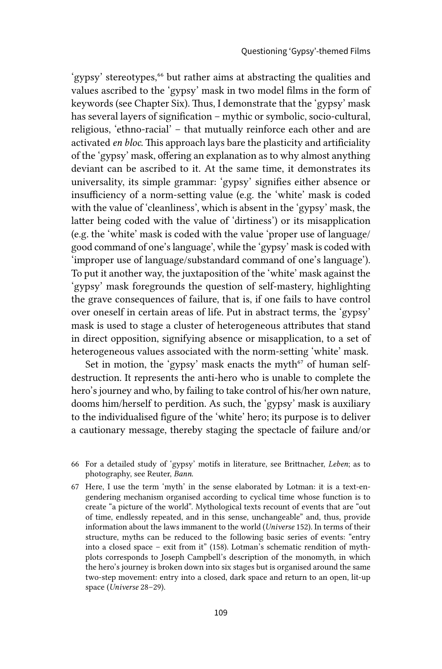'gypsy' stereotypes,<sup>66</sup> but rather aims at abstracting the qualities and values ascribed to the 'gypsy' mask in two model films in the form of keywords (see Chapter Six). Thus, I demonstrate that the 'gypsy' mask has several layers of signification – mythic or symbolic, socio-cultural, religious, 'ethno-racial' – that mutually reinforce each other and are activated *en bloc*. This approach lays bare the plasticity and artificiality of the 'gypsy' mask, offering an explanation as to why almost anything deviant can be ascribed to it. At the same time, it demonstrates its universality, its simple grammar: 'gypsy' signifies either absence or insufficiency of a norm-setting value (e.g. the 'white' mask is coded with the value of 'cleanliness', which is absent in the 'gypsy' mask, the latter being coded with the value of 'dirtiness') or its misapplication (e.g. the 'white' mask is coded with the value 'proper use of language/ good command of one's language', while the 'gypsy' mask is coded with 'improper use of language/substandard command of one's language'). To put it another way, the juxtaposition of the 'white' mask against the 'gypsy' mask foregrounds the question of self-mastery, highlighting the grave consequences of failure, that is, if one fails to have control over oneself in certain areas of life. Put in abstract terms, the 'gypsy' mask is used to stage a cluster of heterogeneous attributes that stand in direct opposition, signifying absence or misapplication, to a set of heterogeneous values associated with the norm-setting 'white' mask.

Set in motion, the 'gypsy' mask enacts the myth $67$  of human selfdestruction. It represents the anti-hero who is unable to complete the hero's journey and who, by failing to take control of his/her own nature, dooms him/herself to perdition. As such, the 'gypsy' mask is auxiliary to the individualised figure of the 'white' hero; its purpose is to deliver a cautionary message, thereby staging the spectacle of failure and/or

<sup>66</sup> For a detailed study of 'gypsy' motifs in literature, see Brittnacher, *Leben*; as to photography, see Reuter, *Bann*.

<sup>67</sup> Here, I use the term 'myth' in the sense elaborated by Lotman: it is a text-engendering mechanism organised according to cyclical time whose function is to create "a picture of the world". Mythological texts recount of events that are "out of time, endlessly repeated, and in this sense, unchangeable" and, thus, provide information about the laws immanent to the world (*Universe* 152). In terms of their structure, myths can be reduced to the following basic series of events: "entry into a closed space – exit from it" (158). Lotman's schematic rendition of mythplots corresponds to Joseph Campbell's description of the monomyth, in which the hero's journey is broken down into six stages but is organised around the same two-step movement: entry into a closed, dark space and return to an open, lit-up space (*Universe* 28–29).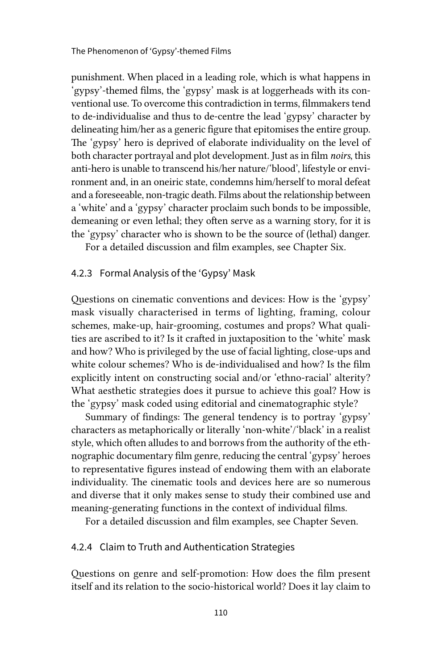punishment. When placed in a leading role, which is what happens in 'gypsy'-themed films, the 'gypsy' mask is at loggerheads with its conventional use. To overcome this contradiction in terms, filmmakers tend to de-individualise and thus to de-centre the lead 'gypsy' character by delineating him/her as a generic figure that epitomises the entire group. The 'gypsy' hero is deprived of elaborate individuality on the level of both character portrayal and plot development. Just as in film *noirs*, this anti-hero is unable to transcend his/her nature/'blood', lifestyle or environment and, in an oneiric state, condemns him/herself to moral defeat and a foreseeable, non-tragic death. Films about the relationship between a 'white' and a 'gypsy' character proclaim such bonds to be impossible, demeaning or even lethal; they often serve as a warning story, for it is the 'gypsy' character who is shown to be the source of (lethal) danger.

For a detailed discussion and film examples, see Chapter Six.

#### 4.2.3 Formal Analysis of the 'Gypsy' Mask

Questions on cinematic conventions and devices: How is the 'gypsy' mask visually characterised in terms of lighting, framing, colour schemes, make-up, hair-grooming, costumes and props? What qualities are ascribed to it? Is it crafted in juxtaposition to the 'white' mask and how? Who is privileged by the use of facial lighting, close-ups and white colour schemes? Who is de-individualised and how? Is the film explicitly intent on constructing social and/or 'ethno-racial' alterity? What aesthetic strategies does it pursue to achieve this goal? How is the 'gypsy' mask coded using editorial and cinematographic style?

Summary of findings: The general tendency is to portray 'gypsy' characters as metaphorically or literally 'non-white'/'black' in a realist style, which often alludes to and borrows from the authority of the ethnographic documentary film genre, reducing the central 'gypsy' heroes to representative figures instead of endowing them with an elaborate individuality. The cinematic tools and devices here are so numerous and diverse that it only makes sense to study their combined use and meaning-generating functions in the context of individual films.

For a detailed discussion and film examples, see Chapter Seven.

#### 4.2.4 Claim to Truth and Authentication Strategies

Questions on genre and self-promotion: How does the film present itself and its relation to the socio-historical world? Does it lay claim to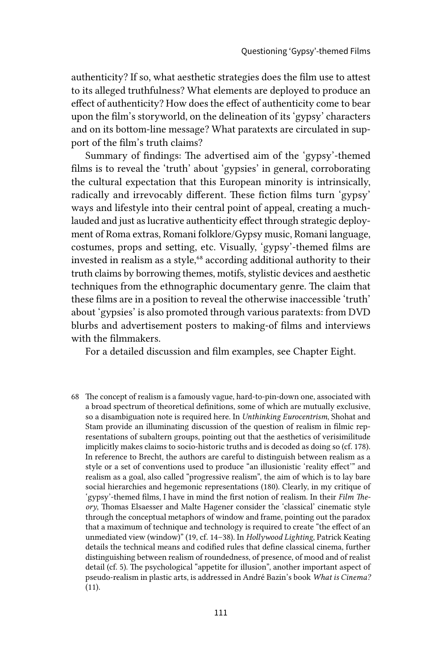authenticity? If so, what aesthetic strategies does the film use to attest to its alleged truthfulness? What elements are deployed to produce an effect of authenticity? How does the effect of authenticity come to bear upon the film's storyworld, on the delineation of its 'gypsy' characters and on its bottom-line message? What paratexts are circulated in support of the film's truth claims?

Summary of findings: The advertised aim of the 'gypsy'-themed films is to reveal the 'truth' about 'gypsies' in general, corroborating the cultural expectation that this European minority is intrinsically, radically and irrevocably different. These fiction films turn 'gypsy' ways and lifestyle into their central point of appeal, creating a muchlauded and just as lucrative authenticity effect through strategic deployment of Roma extras, Romani folklore/Gypsy music, Romani language, costumes, props and setting, etc. Visually, 'gypsy'-themed films are invested in realism as a style,<sup>68</sup> according additional authority to their truth claims by borrowing themes, motifs, stylistic devices and aesthetic techniques from the ethnographic documentary genre. The claim that these films are in a position to reveal the otherwise inaccessible 'truth' about 'gypsies' is also promoted through various paratexts: from DVD blurbs and advertisement posters to making-of films and interviews with the filmmakers.

For a detailed discussion and film examples, see Chapter Eight.

68 The concept of realism is a famously vague, hard-to-pin-down one, associated with a broad spectrum of theoretical definitions, some of which are mutually exclusive, so a disambiguation note is required here. In *Unthinking Eurocentrism*, Shohat and Stam provide an illuminating discussion of the question of realism in filmic representations of subaltern groups, pointing out that the aesthetics of verisimilitude implicitly makes claims to socio-historic truths and is decoded as doing so (cf. 178). In reference to Brecht, the authors are careful to distinguish between realism as a style or a set of conventions used to produce "an illusionistic 'reality effect'" and realism as a goal, also called "progressive realism", the aim of which is to lay bare social hierarchies and hegemonic representations (180). Clearly, in my critique of 'gypsy'-themed films, I have in mind the first notion of realism. In their *Film Theory*, Thomas Elsaesser and Malte Hagener consider the 'classical' cinematic style through the conceptual metaphors of window and frame, pointing out the paradox that a maximum of technique and technology is required to create "the effect of an unmediated view (window)" (19, cf. 14–38). In *Hollywood Lighting*, Patrick Keating details the technical means and codified rules that define classical cinema, further distinguishing between realism of roundedness, of presence, of mood and of realist detail (cf. 5). The psychological "appetite for illusion", another important aspect of pseudo-realism in plastic arts, is addressed in André Bazin's book *What is Cinema?* (11).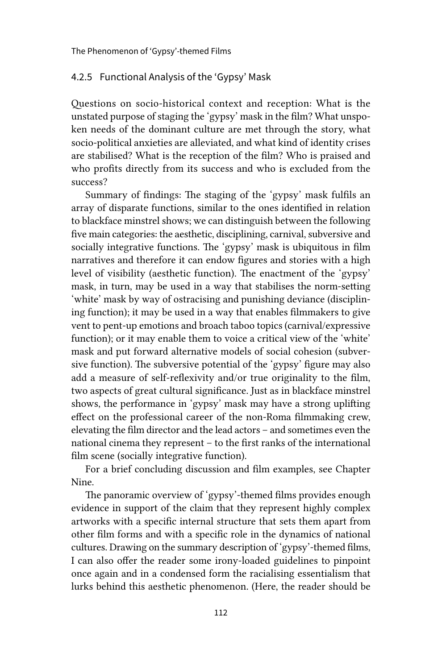#### 4.2.5 Functional Analysis of the 'Gypsy' Mask

Questions on socio-historical context and reception: What is the unstated purpose of staging the 'gypsy' mask in the film? What unspoken needs of the dominant culture are met through the story, what socio-political anxieties are alleviated, and what kind of identity crises are stabilised? What is the reception of the film? Who is praised and who profits directly from its success and who is excluded from the success?

Summary of findings: The staging of the 'gypsy' mask fulfils an array of disparate functions, similar to the ones identified in relation to blackface minstrel shows; we can distinguish between the following five main categories: the aesthetic, disciplining, carnival, subversive and socially integrative functions. The 'gypsy' mask is ubiquitous in film narratives and therefore it can endow figures and stories with a high level of visibility (aesthetic function). The enactment of the 'gypsy' mask, in turn, may be used in a way that stabilises the norm-setting 'white' mask by way of ostracising and punishing deviance (disciplining function); it may be used in a way that enables filmmakers to give vent to pent-up emotions and broach taboo topics (carnival/expressive function); or it may enable them to voice a critical view of the 'white' mask and put forward alternative models of social cohesion (subversive function). The subversive potential of the 'gypsy' figure may also add a measure of self-reflexivity and/or true originality to the film, two aspects of great cultural significance. Just as in blackface minstrel shows, the performance in 'gypsy' mask may have a strong uplifting effect on the professional career of the non-Roma filmmaking crew, elevating the film director and the lead actors – and sometimes even the national cinema they represent – to the first ranks of the international film scene (socially integrative function).

For a brief concluding discussion and film examples, see Chapter Nine.

The panoramic overview of 'gypsy'-themed films provides enough evidence in support of the claim that they represent highly complex artworks with a specific internal structure that sets them apart from other film forms and with a specific role in the dynamics of national cultures. Drawing on the summary description of 'gypsy'-themed films, I can also offer the reader some irony-loaded guidelines to pinpoint once again and in a condensed form the racialising essentialism that lurks behind this aesthetic phenomenon. (Here, the reader should be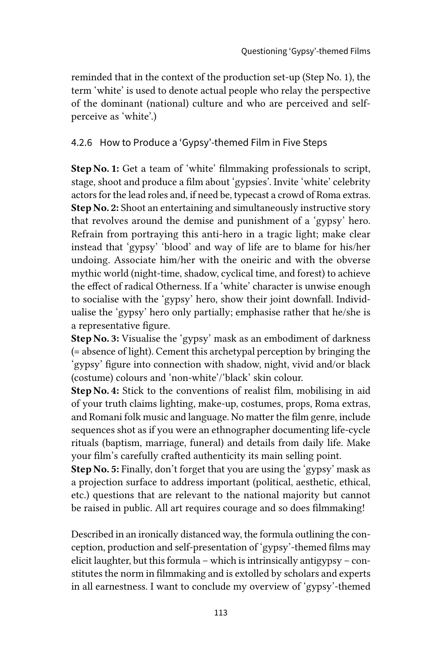reminded that in the context of the production set-up (Step No. 1), the term 'white' is used to denote actual people who relay the perspective of the dominant (national) culture and who are perceived and selfperceive as 'white'.)

4.2.6 How to Produce a 'Gypsy'-themed Film in Five Steps

Step No. 1: Get a team of 'white' filmmaking professionals to script, stage, shoot and produce a film about 'gypsies'. Invite 'white' celebrity actors for the lead roles and, if need be, typecast a crowd of Roma extras. Step No. 2: Shoot an entertaining and simultaneously instructive story that revolves around the demise and punishment of a 'gypsy' hero. Refrain from portraying this anti-hero in a tragic light; make clear instead that 'gypsy' 'blood' and way of life are to blame for his/her undoing. Associate him/her with the oneiric and with the obverse mythic world (night-time, shadow, cyclical time, and forest) to achieve the effect of radical Otherness. If a 'white' character is unwise enough to socialise with the 'gypsy' hero, show their joint downfall. Individualise the 'gypsy' hero only partially; emphasise rather that he/she is a representative figure.

Step No. 3: Visualise the 'gypsy' mask as an embodiment of darkness (= absence of light). Cement this archetypal perception by bringing the 'gypsy' figure into connection with shadow, night, vivid and/or black (costume) colours and 'non-white'/'black' skin colour.

Step No. 4: Stick to the conventions of realist film, mobilising in aid of your truth claims lighting, make-up, costumes, props, Roma extras, and Romani folk music and language. No matter the film genre, include sequences shot as if you were an ethnographer documenting life-cycle rituals (baptism, marriage, funeral) and details from daily life. Make your film's carefully crafted authenticity its main selling point.

Step No. 5: Finally, don't forget that you are using the 'gypsy' mask as a projection surface to address important (political, aesthetic, ethical, etc.) questions that are relevant to the national majority but cannot be raised in public. All art requires courage and so does filmmaking!

Described in an ironically distanced way, the formula outlining the conception, production and self-presentation of 'gypsy'-themed films may elicit laughter, but this formula – which is intrinsically antigypsy – constitutes the norm in filmmaking and is extolled by scholars and experts in all earnestness. I want to conclude my overview of 'gypsy'-themed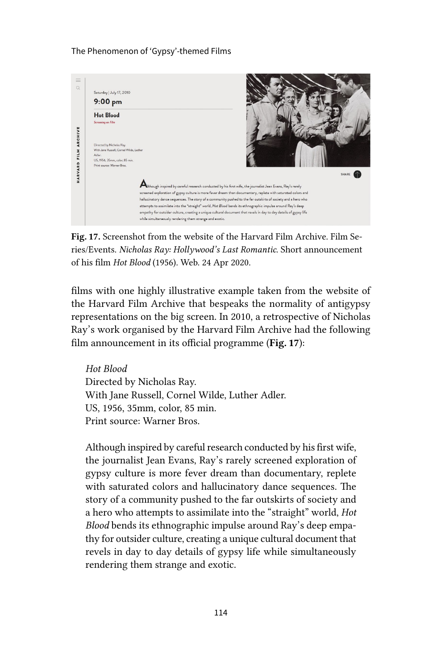The Phenomenon of 'Gypsy'-themed Films



Fig. 17. Screenshot from the website of the Harvard Film Archive. Film Series/Events. *Nicholas Ray: Hollywood's Last Romantic*. Short announcement of his film *Hot Blood* (1956). Web. 24 Apr 2020.

films with one highly illustrative example taken from the website of the Harvard Film Archive that bespeaks the normality of antigypsy representations on the big screen. In 2010, a retrospective of Nicholas Ray's work organised by the Harvard Film Archive had the following film announcement in its official programme (Fig. 17):

*Hot Blood* Directed by Nicholas Ray. With Jane Russell, Cornel Wilde, Luther Adler. US, 1956, 35mm, color, 85 min. Print source: Warner Bros.

Although inspired by careful research conducted by his first wife, the journalist Jean Evans, Ray's rarely screened exploration of gypsy culture is more fever dream than documentary, replete with saturated colors and hallucinatory dance sequences. The story of a community pushed to the far outskirts of society and a hero who attempts to assimilate into the "straight" world, *Hot Blood* bends its ethnographic impulse around Ray's deep empathy for outsider culture, creating a unique cultural document that revels in day to day details of gypsy life while simultaneously rendering them strange and exotic.